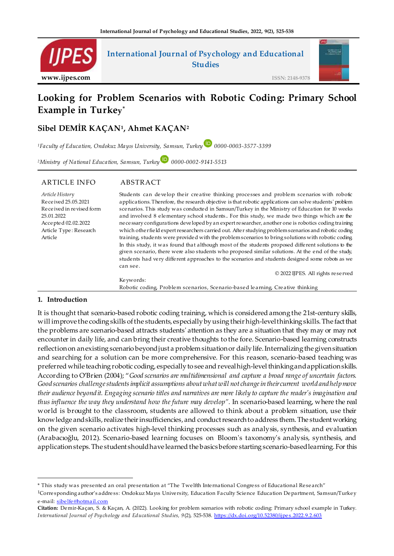

# **Looking for Problem Scenarios with Robotic Coding: Primary School Example in Turkey \***

**Sibel DEMİR KAÇAN<sup>1</sup> , Ahmet KAÇAN<sup>2</sup>**

*<sup>1</sup>Faculty of Education, Ondokuz Mayıs University, Samsun, Turkey 0000-0003-3577-3399*

*<sup>2</sup>Ministry of National Education, Samsun, Turkey 0000-0002-9141-5513*

#### ARTICLE INFO ABSTRACT

*Article Histor*y Received 25.05.2021 Received in revised form 25.01.2022 Accepted 02.02.2022 Article Type : Research Article

Students can develop their creative thinking processes and problem scenarios with robotic applications. Therefore, the research objective is that robotic applications can solve students' problem scenarios. This study was conducted in Samsun/Turkey in the Ministry of Education for 10 weeks and involved 8 elementary school students.. For this study, we made two things which are the necessary configurations developed by an expert researcher, another one is robotics coding training which other field expert researchers carried out. After studying problem scenarios and robotic coding training, students were provided with the problem scenarios to bring solutions with robotic coding. In this study, it was found that although most of the students proposed different solutions to the given scenario, there were also students who proposed similar solutions. At the end of the study, students had very different approaches to the scenarios and students designed some robots as we can see.

© 2022 IJPES. All rights reserved

Keywords: Robotic coding, Problem scenarios, Scenario-based learning, Creative thinking

#### **1. Introduction**

-

It is thought that scenario-based robotic coding training, which is considered among the 21st-century skills, will improve the coding skills of the students, especially by using their high-level thinking skills. The fact that the problems are scenario-based attracts students' attention as they are a situation that they may or may not encounter in daily life, and can bring their creative thoughts to the fore. Scenario-based learning constructs reflection on an existing scenario beyond just a problem situation or daily life. Internalizing the given situation and searching for a solution can be more comprehensive. For this reason, scenario-based teaching was preferred while teaching robotic coding, especially to see and reveal high-level thinking and application skills. According to O'Brien (2004); "*Good scenarios are multidimensional and capture a broad range of uncertain factors. Good scenarios challenge students implicit assumptions about what will not change in their current world and help move their audience beyond it. Engaging scenario titles and narratives are more likely to capture the reader's imagination and thus influence the way they understand how the future may develop".* In scenario-based learning, where the real world is brought to the classroom, students are allowed to think about a problem situation, use their knowledge and skills, realize their insufficiencies, and conduct research to address them. The student working on the given scenario activates high-level thinking processes such as analysis, synthesis, and evaluation (Arabacıoğlu, 2012). Scenario-based learning focuses on Bloom's taxonomy's analysis, synthesis, and application steps. The student should have learned the basics before starting scenario-based learning. For this

<sup>\*</sup> This study was presented an oral presentation at "The Twelfth International Congress of Educational Research"

<sup>1</sup>Corresponding author's address: Ondokuz Mayıs University, Education Faculty Science Education Department, Samsun/Turkey e -mail[: sibelfe@hotmail.com](mailto:sibelfe@hotmail.com)

**Citation:** Demir-Kaçan, S. & Kaçan, A. (2022). Looking for problem scenarios with robotic coding: Primary school example in Turkey. *International Journal of Psychology and Educational Studies, 9*(2), 525-538. [https://dx.doi.org/10.52380/ijpes.2022.9](https://dx.doi.org/10.52380/ijpes.2022.9.2.603).2.603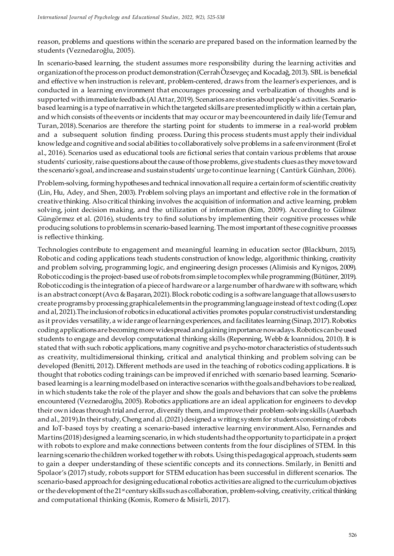reason, problems and questions within the scenario are prepared based on the information learned by the students (Veznedaroğlu, 2005).

In scenario-based learning, the student assumes more responsibility during the learning activities and organization of the process on product demonstration (Cerrah Özsevgeç and Kocadağ, 2013). SBL is beneficial and effective when instruction is relevant, problem-centered, draws from the learner's experiences, and is conducted in a learning environment that encourages processing and verbalization of thoughts and is supported with immediate feedback (Al Attar, 2019). Scenarios are stories about people's activities. Scenariobased learning is a type of narrative in which the targeted skills are presented implicitly within a certain plan, and which consists of the events or incidents that may occur or may be encountered in daily life (Temur and Turan, 2018). Scenarios are therefore the starting point for students to immerse in a real-world problem and a subsequent solution finding process. During this process students must apply their individual knowledge and cognitive and social abilities to collaboratively solve problems in a safe environment (Erol et al., 2016). Scenarios used as educational tools are fictional series that contain various problems that arouse students' curiosity, raise questions about the cause of those problems, give students clues as they move toward the scenario's goal, and increase and sustain students' urge to continue learning ( Cantürk Günhan, 2006).

Problem-solving, forming hypotheses and technical innovation all require a certain form of scientific creativity (Lin, Hu, Adey, and Shen, 2003). Problem solving plays an important and effective role in the formation of creative thinking. Also critical thinking involves the acquisition of information and active learning, problem solving, joint decision making, and the utilization of information (Kim, 2009). According to Gülmez Güngörmez et al. (2016), students try to find solutions by implementing their cognitive processes while producing solutions to problems in scenario-based learning. The most important of these cognitive processes is reflective thinking.

Technologies contribute to engagement and meaningful learning in education sector (Blackburn, 2015). Robotic and coding applications teach students construction of knowledge, algorithmic thinking, creativity and problem solving, programming logic, and engineering design processes (Alimisis and Kynigos, 2009). Robotic coding is the project-based use of robots from simple to complex while programming (Bütüner, 2019). Robotic coding is the integration of a piece of hardware or a large number of hardware with software, which is an abstract concept (Avcı & Başaran, 2021). Block robotic coding is a software language that allows users to create programs by processing graphical elements in the programming language instead of text coding (Lopez and al, 2021).The inclusion of robotics in educational activities promotes popular constructivist understanding as it provides versatility, a wide range of learning experiences, and facilitates learning (Sinap, 2017). Robotics coding applications are becoming more widespread and gaining importance nowadays. Robotics can be used students to engage and develop computational thinking skills (Repenning, Webb & Ioannidou, 2010). It is stated that with such robotic applications, many cognitive and psycho-motor characteristics of students such as creativity, multidimensional thinking, critical and analytical thinking and problem solving can be developed (Benitti, 2012). Different methods are used in the teaching of robotics coding applications. It is thought that robotics coding trainings can be improved if enriched with scenario based learning. Scenariobased learning is a learning model based on interactive scenarios with the goals and behaviors to be realized, in which students take the role of the player and show the goals and behaviors that can solve the problems encountered (Veznedaroğlu, 2005). Robotics applications are an ideal application for engineers to develop their own ideas through trial and error, diversify them, and improve their problem-solving skills (Auerbach and al., 2019).In their study, Cheng and al. (2021) designed a writing system for students consisting of robots and IoT-based toys by creating a scenario-based interactive learning environment.Also, Fernandes and Martins (2018) designed a learning scenario, in which students had the opportunity to participate in a project with robots to explore and make connections between contents from the four disciplines of STEM. In this learning scenario the children worked together with robots. Using this pedagogical approach, students seem to gain a deeper understanding of these scientific concepts and its connections. Smilarly, in Benitti and Spolaor's (2017) study, robots support for STEM education has been successful in different scenarios. The scenario-based approach for designing educational robotics activities are aligned to the curriculum objectives or the development of the 21<sup>st</sup> century skills such as collaboration, problem-solving, creativity, critical thinking and computational thinking (Komis, Romero & Misirli, 2017).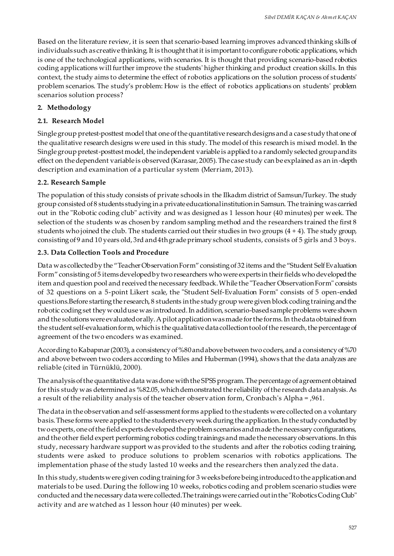Based on the literature review, it is seen that scenario-based learning improves advanced thinking skills of individuals such as creative thinking. It is thought that it is important to configure robotic applications, which is one of the technological applications, with scenarios. It is thought that providing scenario-based robotics coding applications will further improve the students' higher thinking and product creation skills. In this context, the study aims to determine the effect of robotics applications on the solution process of students' problem scenarios. The study's problem: How is the effect of robotics applications on students' problem scenarios solution process?

#### **2. Methodology**

#### **2.1. Research Model**

Single group pretest-posttest model that one of the quantitative research designs and a case study that one of the qualitative research designs were used in this study. The model of this research is mixed model. In the Single group pretest-posttest model, the independent variable is applied to a randomly selected group and its effect on the dependent variable is observed (Karasar, 2005). The case study can be explained as an in-depth description and examination of a particular system (Merriam, 2013).

#### **2.2. Research Sample**

The population of this study consists of private schools in the Ilkadım district of Samsun/Turkey. The study group consisted of 8 students studying in a private educational institution in Samsun. The training was carried out in the "Robotic coding club" activity and was designed as 1 lesson hour (40 minutes) per week. The selection of the students was chosen by random sampling method and the researchers trained the first 8 students who joined the club. The students carried out their studies in two groups  $(4 + 4)$ . The study group, consisting of 9 and 10 years old, 3rd and 4th grade primary school students, consists of 5 girls and 3 boys.

#### **2.3. Data Collection Tools and Procedure**

Data was collected by the "TeacherObservation Form" consisting of 32 items and the "Student Self Evaluation Form" consisting of 5 items developed by two researchers who were experts in their fields who developed the item and question pool and received the necessary feedback. While the "Teacher Observation Form" consists of 32 questions on a 5-point Likert scale, the "Student Self-Evaluation Form" consists of 5 open-ended questions.Before starting the research, 8 students in the study group were given block coding training and the robotic coding set they would use was introduced. In addition, scenario-based sample problems were shown and the solutions were evaluated orally. A pilot application was made for the forms. In the data obtained from the student self-evaluation form, which is the qualitative data collection tool of the research, the percentage of agreement of the two encoders was examined.

According to Kabapınar (2003), a consistency of %80 and above between two coders, and a consistency of %70 and above between two coders according to Miles and Huberman (1994), shows that the data analyzes are reliable (cited in Türnüklü, 2000).

The analysis of the quantitative data was done with the SPSS program. The percentage of agreement obtained for this study was determined as %82.05, which demonstrated the reliability of the research data analysis. As a result of the reliability analysis of the teacher observation form, Cronbach's Alpha = ,961.

The data in the observation and self-assessment forms applied to the students were collected on a voluntary basis. These forms were applied to the students every week during the application. In the study conducted by two experts, one of the field experts developed the problem scenarios and made the necessary configurations, and the other field expert performing robotics coding trainings and made the necessary observations. In this study, necessary hardware support was provided to the students and after the robotics coding training, students were asked to produce solutions to problem scenarios with robotics applications. The implementation phase of the study lasted 10 weeks and the researchers then analyzed the data.

In this study, students were given coding training for 3 weeks before being introduced to the application and materials to be used. During the following 10 weeks, robotics coding and problem scenario studies were conducted and the necessary data were collected.The trainings were carried out in the "Robotics Coding Club" activity and are watched as 1 lesson hour (40 minutes) per week.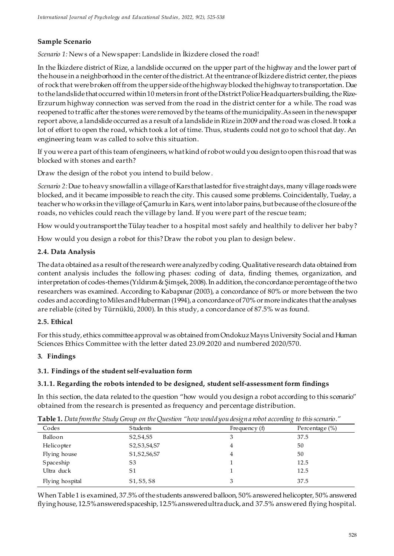# **Sample Scenario**

*Scenario 1:* News of a Newspaper: Landslide in İkizdere closed the road!

In the İkizdere district of Rize, a landslide occurred on the upper part of the highway and the lower part of the house in a neighborhood in the center of thedistrict. At the entrance of İkizdere district center, the pieces of rock that were broken off from the upper side of the highway blocked the highway to transportation. Due to the landslide that occurred within 10 meters in front of the District Police Headquarters building, the Rize-Erzurum highway connection was served from the road in the district center for a while. The road was reopened to traffic after the stones were removed by the teams of the municipality.As seen in the newspaper report above, a landslide occurred as a result of a landslide in Rize in 2009 and the road was closed. It took a lot of effort to open the road, which took a lot of time. Thus, students could not go to school that day. An engineering team was called to solve this situation.

If you were a part of this team of engineers, what kind of robot would you design to open this road that was blocked with stones and earth?

Draw the design of the robot you intend to build below.

*Scenario 2:*Due to heavy snowfall in a village of Kars that lasted for five straight days, many village roads were blocked, and it became impossible to reach the city. This caused some problems. Coincidentally, Tuelay, a teacher who works in the village ofÇamurlu in Kars, went into labor pains, but because of the closure of the roads, no vehicles could reach the village by land. If you were part of the rescue team;

How would you transport the Tülay teacher to a hospital most safely and healthily to deliver her baby?

How would you design a robot for this? Draw the robot you plan to design belew.

## **2.4. Data Analysis**

The data obtained as a result of the research were analyzed by coding. Qualitative research data obtained from content analysis includes the following phases: coding of data, finding themes, organization, and interpretation of codes-themes (Yıldırım & Şimşek, 2008).In addition, the concordance percentage of the two researchers was examined. According to Kabapınar (2003), a concordance of 80% or more between the two codes and according to Miles and Huberman (1994), a concordance of 70% or more indicates that the analyses are reliable (cited by Türnüklü, 2000). In this study, a concordance of 87.5% was found.

#### **2.5. Ethical**

For this study, ethics committee approval was obtained from Ondokuz Mayıs University Social and Human Sciences Ethics Committee with the letter dated 23.09.2020 and numbered 2020/570.

#### **3. Findings**

#### **3.1. Findings of the student self-evaluation form**

#### **3.1.1. Regarding the robots intended to be designed, student self-assessment form findings**

In this section, the data related to the question "how would you design a robot according to this scenario" obtained from the research is presented as frequency and percentage distribution.

|                 | $\sim$                                           | $\circ$         | $\circ$            |  |
|-----------------|--------------------------------------------------|-----------------|--------------------|--|
| Codes           | <b>Students</b>                                  | Frequency $(f)$ | Percentage $(\% )$ |  |
| Balloon         | S2, S4, S5                                       | 3               | 37.5               |  |
| Helicopter      | S2, S3, S4, S7                                   | 4               | 50                 |  |
| Flying house    | S1, S2, S6, S7                                   | 4               | 50                 |  |
| Spaceship       | S <sub>3</sub>                                   |                 | 12.5               |  |
| Ultra duck      | S1                                               |                 | 12.5               |  |
| Flying hospital | S <sub>1</sub> , S <sub>5</sub> , S <sub>8</sub> | 3               | 37.5               |  |
|                 |                                                  |                 |                    |  |

**Table 1.** *Data from the Study Group on the Question "how would you design a robot according to this scenario."*

When Table 1 is examined, 37.5% of the students answered balloon, 50% answered helicopter, 50% answered flying house, 12.5% answered spaceship, 12.5% answered ultra duck, and 37.5% answered flying hospital.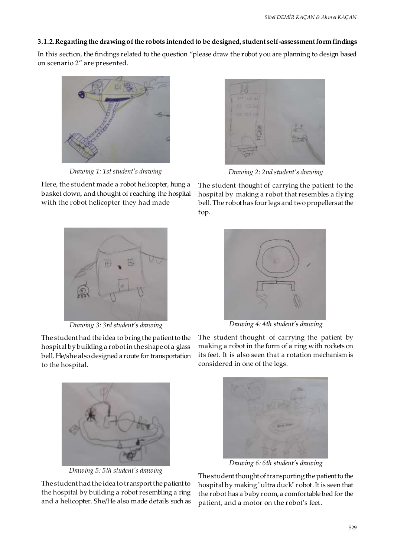#### **3.1.2. Regarding the drawing of the robots intended to be designed, student self-assessment form findings**

In this section, the findings related to the question "please draw the robot you are planning to design based on scenario 2" are presented.



*Drawing 1: 1st student's drawing*

Here, the student made a robot helicopter, hung a basket down, and thought of reaching the hospital with the robot helicopter they had made



*Drawing 3: 3rd student's drawing*

The student had the idea to bring the patient to the hospital by building a robot in the shape of a glass bell. He/she also designed a route for transportation to the hospital.



*Drawing 5: 5th student's drawing*

The student had the idea to transport the patient to the hospital by building a robot resembling a ring and a helicopter. She/He also made details such as



*Drawing 2: 2nd student's drawing*

The student thought of carrying the patient to the hospital by making a robot that resembles a flying bell. The robot has four legs and two propellers at the top.



*Drawing 4: 4th student's drawing*

The student thought of carrying the patient by making a robot in the form of a ring with rockets on its feet. It is also seen that a rotation mechanism is considered in one of the legs.



*Drawing 6: 6th student's drawing*

The student thought of transporting the patient to the hospital by making "ultra duck" robot. It is seen that the robot has a baby room, a comfortable bed for the patient, and a motor on the robot's feet.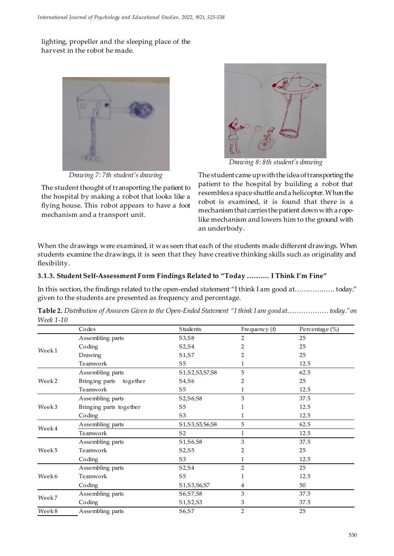lighting, propeller and the sleeping place of the harvest in the robot he made.



*Drawing 7: 7th student's drawing*

The student thought of transporting the patient to the hospital by making a robot that looks like a flying house. This robot appears to have a foot mechanism and a transport unit.



*Drawing 8: 8th student's drawing*

The student came up with the idea of transporting the patient to the hospital by building a robot that resembles a space shuttle and a helicopter. When the robot is examined, it is found that there is a mechanism that carries the patient down with a ropelike mechanism and lowers him to the ground with an underbody.

When the drawings were examined, it was seen that each of the students made different drawings. When students examine the drawings, it is seen that they have creative thinking skills such as originality and flexibility.

#### **3.1.3. Student Self-Assessment Form Findings Related to "Today ………. I Think I'm Fine"**

In this section, the findings related to the open-ended statement "I think I am good at……………… today." given to the students are presented as frequency and percentage.

|                   | Codes                      | <b>Students</b>    | Frequency (f)  | Percentage (%) |
|-------------------|----------------------------|--------------------|----------------|----------------|
|                   | Assembling parts           | S3, S8             | 2              | 25             |
|                   | Coding                     | S2, S4             | 2              | 25             |
| Week1             | Drawing                    | S1, S7             | 2              | 25             |
|                   | Teamwork                   | S <sub>5</sub>     | 1              | 12.5           |
|                   | Assembling parts           | S1, S2, S3, S7, S8 | 5              | 62.5           |
| Week <sub>2</sub> | Bringing parts<br>together | S4, S6             | 2              | 25             |
|                   | Teamwork                   | S <sub>5</sub>     | 1              | 12.5           |
|                   | Assembling parts           | S2, S6, S8         | 3              | 37.5           |
| Week 3            | Bringing parts together    | S <sub>5</sub>     | 1              | 12.5           |
|                   | Coding                     | S <sub>3</sub>     | 1              | 12.5           |
|                   | Assembling parts           | S1, S3, S5, S6, S8 | 5              | 62.5           |
| Week 4            | Teamwork                   | S <sub>2</sub>     | $\mathbf{1}$   | 12.5           |
|                   | Assembling parts           | S1, S6, S8         | 3              | 37.5           |
| Week 5            | Teamwork                   | S2, S5             | 2              | 25             |
|                   | Coding                     | S <sub>3</sub>     | 1              | 12.5           |
|                   | Assembling parts           | S2, S4             | $\overline{2}$ | 25             |
| Week 6            | Teamwork                   | S <sub>5</sub>     | 1              | 12.5           |
|                   | Coding                     | S1, S3, S6, S7     | 4              | 50             |
|                   | Assembling parts           | S6, S7, S8         | 3              | 37.5           |
| Week7             | Coding                     | S1, S2, S3         | 3              | 37.5           |
| Week 8            | Assembling parts           | S6, S7             | $\overline{2}$ | 25             |

**Table 2.** *Distribution of Answers Given to the Open-Ended Statement "I think I am good at……………… today." on Week 1-10*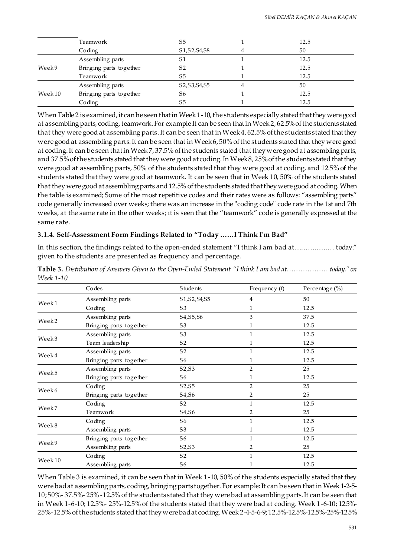|                    | Teamwork                | S5             | 12.5 |
|--------------------|-------------------------|----------------|------|
|                    | Coding                  | S1, S2, S4, S8 | 50   |
|                    | Assembling parts        | S1             | 12.5 |
| Week9              | Bringing parts together | S <sub>2</sub> | 12.5 |
|                    | Teamwork                | S5             | 12.5 |
|                    | Assembling parts        | S2, S3, S4, S5 | 50   |
| Week <sub>10</sub> | Bringing parts together | S6             | 12.5 |
|                    | Coding                  | S5             | 12.5 |

When Table 2 is examined, it can be seen that in Week 1-10, the students especially stated that they were good at assembling parts, coding, teamwork. For example It can be seen that in Week 2, 62.5% of the students stated that they were good at assembling parts. It can be seen that in Week 4, 62.5% of the students stated that they were good at assembling parts. It can be seen that in Week 6, 50% of the students stated that they were good at coding. It can be seen that in Week 7, 37.5% of the students stated that they were good at assembling parts, and 37.5% of the students stated that they were good at coding. In Week 8, 25% of the students stated that they were good at assembling parts, 50% of the students stated that they were good at coding, and 12.5% of the students stated that they were good at teamwork. It can be seen that in Week 10, 50% of the students stated that they were good at assembling parts and 12.5% of the students stated that they were good at coding. When the table is examined; Some of the most repetitive codes and their rates were as follows: "assembling parts" code generally increased over weeks; there was an increase in the "coding code" code rate in the 1st and 7th weeks, at the same rate in the other weeks; ıt is seen that the "teamwork" code is generally expressed at the same rate.

# **3.1.4. Self-Assessment Form Findings Related to "Today ……I Think I'm Bad"**

In this section, the findings related to the open-ended statement "I think I am bad at……………… today." given to the students are presented as frequency and percentage.

|                    | Codes                   | <b>Students</b>                 | Frequency $(f)$ | Percentage (%) |
|--------------------|-------------------------|---------------------------------|-----------------|----------------|
|                    | Assembling parts        | S1, S2, S4, S5                  | 4               | 50             |
| Week1              | Coding                  | S <sub>3</sub>                  | 1               | 12.5           |
|                    | Assembling parts        | S4, S5, S6                      | 3               | 37.5           |
| Week <sub>2</sub>  | Bringing parts together | S <sub>3</sub>                  |                 | 12.5           |
| Week3              | Assembling parts        | S <sub>3</sub>                  |                 | 12.5           |
|                    | Team leadership         | S <sub>2</sub>                  |                 | 12.5           |
| Week 4             | Assembling parts        | S <sub>2</sub>                  | $\mathbf{1}$    | 12.5           |
|                    | Bringing parts together | S6                              |                 | 12.5           |
| Week 5             | Assembling parts        | S2, S3                          | $\overline{2}$  | 25             |
|                    | Bringing parts together | S6                              |                 | 12.5           |
|                    | Coding                  | S2, S5                          | $\overline{2}$  | 25             |
| Week 6             | Bringing parts together | S <sub>4</sub> , S <sub>6</sub> | 2               | 25             |
|                    | Coding                  | S <sub>2</sub>                  |                 | 12.5           |
| Week7              | Teamwork                | S4, S6                          | 2               | 25             |
|                    | Coding                  | S <sub>6</sub>                  |                 | 12.5           |
| Week8              | Assembling parts        | S <sub>3</sub>                  |                 | 12.5           |
|                    | Bringing parts together | S <sub>6</sub>                  |                 | 12.5           |
| Week 9             | Assembling parts        | S2, S3                          | 2               | 25             |
|                    | Coding                  | S <sub>2</sub>                  |                 | 12.5           |
| Week <sub>10</sub> | Assembling parts        | S <sub>6</sub>                  |                 | 12.5           |

**Table 3.** *Distribution of Answers Given to the Open-Ended Statement "I think I am bad at……………… today." on Week 1-10*

When Table 3 is examined, it can be seen that in Week 1-10, 50% of the students especially stated that they were bad at assembling parts, coding, bringing parts together. For example: It can be seen that in Week 1-2-5- 10; 50%- 37.5%- 25% -12.5% of the students stated that they were bad at assembling parts. It can be seen that in Week 1-6-10; 12.5%- 25%-12.5% of the students stated that they were bad at coding. Week 1-6-10; 12.5%- 25%-12.5% of the students stated that they were bad at coding. Week 2-4-5-6-9; 12.5%-12.5%-12.5%-25%-12.5%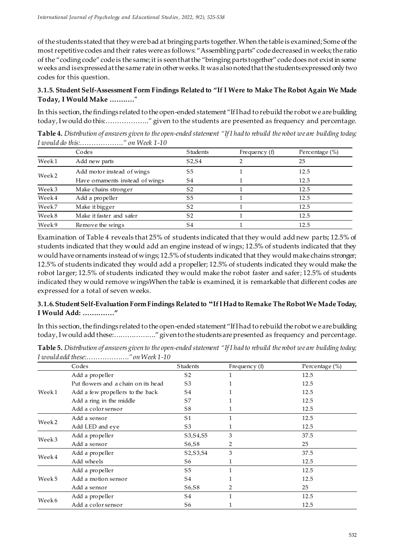of the students stated that they were bad at bringing parts together.When the table is examined; Some of the most repetitive codes and their rates were as follows: "Assembling parts" code decreased in weeks; the ratio of the "coding code" code is the same; it is seen that the "bringing parts together" code does not exist in some weeks and is expressed at the same rate in other weeks. It was also noted that the students expressed only two codes for this question.

#### **3.1.5. Student Self-Assessment Form Findings Related to "If I Were to Make The Robot Again We Made Today, I Would Make ……..…"**

In this section, the findings related to the open-ended statement "If I had to rebuild the robot we are building today, I would do this:………………." given to the students are presented as frequency and percentage.

**Table 4.** *Distribution of answers given to the open-ended statement "If I had to rebuild the robot we are building today; I would do this:………………." on Week 1-10*

|                   | Codes                           | <b>Students</b>                 | Frequency $(f)$ | Percentage $(\%)$ |
|-------------------|---------------------------------|---------------------------------|-----------------|-------------------|
| Week1             | Add new parts                   | S <sub>2</sub> , S <sub>4</sub> |                 | 25                |
| Week <sub>2</sub> | Add motor instead of wings      | S5                              |                 | 12.5              |
|                   | Have ornaments instead of wings | S4                              |                 | 12.5              |
| Week3             | Make chains stronger            | S <sub>2</sub>                  |                 | 12.5              |
| Week4             | Add a propeller                 | S5                              |                 | 12.5              |
| Week7             | Make it bigger                  | S <sub>2</sub>                  |                 | 12.5              |
| Week8             | Make it faster and safer        | S <sub>2</sub>                  |                 | 12.5              |
| Week9             | Remove the wings                | S4                              |                 | 12.5              |

Examination of Table 4 reveals that 25% of students indicated that they would add new parts; 12.5% of students indicated that they would add an engine instead of wings; 12.5% of students indicated that they would have ornaments instead of wings; 12.5% of students indicated that they would make chains stronger; 12.5% of students indicated they would add a propeller; 12.5% of students indicated they would make the robot larger; 12.5% of students indicated they would make the robot faster and safer; 12.5% of students indicated they would remove wingsWhen the table is examined, it is remarkable that different codes are expressed for a total of seven weeks.

## **3.1.6. Student Self-Evaluation Form Findings Related to "If I Had to Remake The Robot We Made Today, I Would Add: ……..……"**

In this section, the findings related to the open-ended statement "If I had to rebuild the robot we are building today, I would add these:………………." given to the students are presented as frequency and percentage.

| Table 5. Distribution of answers given to the open-ended statement "If I had to rebuild the robot we are building today; |  |
|--------------------------------------------------------------------------------------------------------------------------|--|
| I would add these:" on Week $1-10$                                                                                       |  |

|                   | Codes                               | <b>Students</b>                 | Frequency $(f)$ | Percentage (%) |
|-------------------|-------------------------------------|---------------------------------|-----------------|----------------|
|                   | Add a propeller                     | S <sub>2</sub>                  |                 | 12.5           |
|                   | Put flowers and a chain on its head | S <sub>3</sub>                  |                 | 12.5           |
| Week1             | Add a few propellers to the back    | S4                              |                 | 12.5           |
|                   | Add a ring in the middle            | S7                              |                 | 12.5           |
|                   | Add a color sensor                  | S8                              |                 | 12.5           |
|                   | Add a sensor                        | S <sub>1</sub>                  |                 | 12.5           |
| Week <sub>2</sub> | Add LED and eye                     | S <sub>3</sub>                  |                 | 12.5           |
|                   | Add a propeller                     | S3, S4, S5                      | 3               | 37.5           |
| Week <sub>3</sub> | Add a sensor                        | S <sub>6</sub> , S <sub>8</sub> | 2               | 25             |
|                   | Add a propeller                     | S2, S3, S4                      | 3               | 37.5           |
| Week4             | Add wheels                          | S6                              |                 | 12.5           |
|                   | Add a propeller                     | S5                              |                 | 12.5           |
| Week 5            | Add a motion sensor                 | S4                              |                 | 12.5           |
|                   | Add a sensor                        | S6, S8                          |                 | 25             |
|                   | Add a propeller                     | S4                              |                 | 12.5           |
| Week 6            | Add a color sensor                  | S6                              |                 | 12.5           |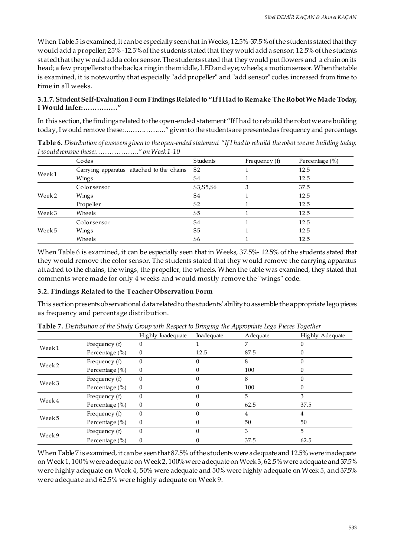When Table 5 is examined, it can be especially seen that in Weeks, 12.5%-37.5% of the students stated that they would add a propeller; 25% -12.5% of the students stated that they would add a sensor; 12.5% of the students stated that they would add a color sensor. The students stated that they would put flowers and a chain on its head; a few propellers to the back; a ring in the middle, LED and eye; wheels; a motion sensor.When the table is examined, it is noteworthy that especially "add propeller" and "add sensor" codes increased from time to time in all weeks.

#### **3.1.7. Student Self-Evaluation Form Findings Related to "If I Had to Remake The Robot We Made Today, I Would Infer:……………"**

In this section, the findings related to the open-ended statement "If I had to rebuild the robot we are building today, I would remove these:………………." given to the students are presented as frequency and percentage.

| <b>Table 6.</b> Distribution of answers given to the open-ended statement "If I had to rebuild the robot we are building today; |  |  |
|---------------------------------------------------------------------------------------------------------------------------------|--|--|
| I would remove these:" on Week1-10                                                                                              |  |  |

|                   | Codes                                     | <b>Students</b> | Frequency (f) | Percentage (%) |
|-------------------|-------------------------------------------|-----------------|---------------|----------------|
| Week1             | Carrying apparatus attached to the chains | S2              |               | 12.5           |
|                   | Wings                                     | S4              |               | 12.5           |
|                   | Colorsensor                               | S3, S5, S6      | 3             | 37.5           |
| Week <sub>2</sub> | Wings                                     | S4              |               | 12.5           |
|                   | Propeller                                 | S <sub>2</sub>  |               | 12.5           |
| Week3             | Wheels                                    | S5              |               | 12.5           |
|                   | Colorsensor                               | S4              |               | 12.5           |
| Week5             | Wings                                     | S <sub>5</sub>  |               | 12.5           |
|                   | Wheels                                    | S6              |               | 12.5           |

When Table 6 is examined, it can be especially seen that in Weeks, 37.5%- 12.5% of the students stated that they would remove the color sensor. The students stated that they would remove the carrying apparatus attached to the chains, the wings, the propeller, the wheels. When the table was examined, they stated that comments were made for only 4 weeks and would mostly remove the "wings" code.

#### **3.2. Findings Related to the Teacher Observation Form**

This section presents observational data related to the students' ability to assemble the appropriate lego pieces as frequency and percentage distribution.

|                   |                   | Highly Inadequate | Inadequate | Adequate | Highly Adequate |
|-------------------|-------------------|-------------------|------------|----------|-----------------|
| Week1             | Frequency (f)     | 0                 |            |          |                 |
|                   | Percentage $(\%)$ | $\theta$          | 12.5       | 87.5     |                 |
|                   | Frequency (f)     | $\Omega$          |            | 8        | 0               |
| Week <sub>2</sub> | Percentage (%)    | $\theta$          |            | 100      |                 |
| Week <sub>3</sub> | Frequency (f)     | $\theta$          |            | 8        | 0               |
|                   | Percentage (%)    | $\theta$          |            | 100      |                 |
|                   | Frequency (f)     | 0                 |            | 5        | 3               |
| Week4             | Percentage (%)    | $\theta$          |            | 62.5     | 37.5            |
|                   | Frequency $(f)$   | $\Omega$          |            | 4        | 4               |
| Week5             | Percentage $(\%)$ | $\theta$          |            | 50       | 50              |
|                   | Frequency (f)     | $\Omega$          |            | 3        | 5               |
| Week9             | Percentage (%)    | $\overline{0}$    |            | 37.5     | 62.5            |

**Table 7.** *Distribution of the Study Group wth Respect to Bringing the Appropriate Lego Pieces Together*

When Table 7 is examined, it can be seen that 87.5% of the students were adequate and 12.5% were inadequate on Week 1, 100% were adequate on Week 2, 100% were adequate on Week 3, 62.5% were adequate and 37.5% were highly adequate on Week 4, 50% were adequate and 50% were highly adequate on Week 5, and 37.5% were adequate and 62.5% were highly adequate on Week 9.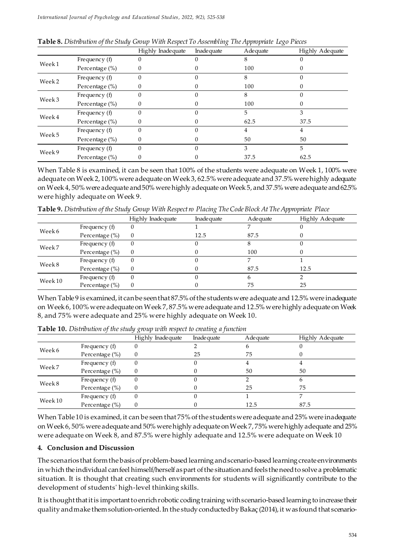|                   |                   | Highly Inadequate | Inadequate | Adequate | Highly Adequate |
|-------------------|-------------------|-------------------|------------|----------|-----------------|
|                   | Frequency (f)     | 0                 |            | 8        |                 |
| Week1             | Percentage (%)    | 0                 |            | 100      |                 |
| Week <sub>2</sub> | Frequency (f)     | 0                 |            | 8        |                 |
|                   | Percentage (%)    | 0                 |            | 100      |                 |
| Week3             | Frequency (f)     |                   |            | 8        |                 |
|                   | Percentage $(\%)$ | 0                 |            | 100      |                 |
| Week4             | Frequency (f)     | 0                 |            | 5        | 3               |
|                   | Percentage $(\%)$ | 0                 |            | 62.5     | 37.5            |
| Week5             | Frequency $(f)$   | $\Omega$          |            | 4        |                 |
|                   | Percentage (%)    | $\Omega$          |            | 50       | 50              |
| Week9             | Frequency $(f)$   | 0                 |            | 3        | 5               |
|                   | Percentage (%)    | 0                 |            | 37.5     | 62.5            |

When Table 8 is examined, it can be seen that 100% of the students were adequate on Week 1, 100% were adequate on Week 2, 100% were adequate on Week 3, 62.5% were adequate and 37.5% were highly adequate on Week 4, 50% were adequate and 50% were highly adequate on Week 5, and 37.5% were adequate and 62.5% were highly adequate on Week 9.

|  |  |  |  |  |  |  | Table 9. Distribution of the Study Group With Respect ro Placing The Code Block At The Appropriate Place |  |
|--|--|--|--|--|--|--|----------------------------------------------------------------------------------------------------------|--|
|--|--|--|--|--|--|--|----------------------------------------------------------------------------------------------------------|--|

|                    |                    | Highly Inadequate | Inade quate | Adequate | Highly Adequate |
|--------------------|--------------------|-------------------|-------------|----------|-----------------|
| Week6              | Frequency (f)      | U                 |             |          |                 |
|                    | Percentage $(\% )$ | 0                 | 12.5        | 87.5     |                 |
| Week7              | Frequency (f)      | 0                 |             |          |                 |
|                    | Percentage $(\%)$  | $\theta$          |             | 100      |                 |
| Week8              | Frequency $(f)$    | 0                 |             |          |                 |
|                    | Percentage (%)     | $\Omega$          |             | 87.5     | 12.5            |
| Week <sub>10</sub> | Frequency (f)      | 0                 |             |          |                 |
|                    | Percentage $(\%)$  | $\theta$          |             | 75       | 25              |

When Table 9 is examined, it can be seen that 87.5% of the students were adequate and 12.5% were inadequate on Week 6, 100% were adequate on Week 7, 87.5% were adequate and 12.5% were highly adequate on Week 8, and 75% were adequate and 25% were highly adequate on Week 10.

|                    |                   | Highly Inade quate | Inadeguate | Adequate | Highly Adequate |
|--------------------|-------------------|--------------------|------------|----------|-----------------|
| Week6              | Frequency (f)     |                    |            |          |                 |
|                    | Percentage (%)    |                    | 25         | 75       |                 |
|                    | Frequency (f)     |                    |            |          |                 |
| Week7              | Percentage $(\%)$ |                    |            | 50       | 50              |
| Week8              | Frequency $(f)$   |                    |            |          |                 |
|                    | Percentage (%)    |                    |            | 25       | 75              |
| Week <sub>10</sub> | Frequency (f)     |                    |            |          |                 |
|                    | Percentage $(\%)$ |                    |            | 12.5     | 87.5            |

**Table 10.** *Distribution of the study group with respect to creating a function*

When Table 10 is examined, it can be seen that 75% of the students were adequate and 25% were inadequate on Week 6, 50% were adequate and 50% were highly adequate on Week 7, 75% were highly adequate and 25% were adequate on Week 8, and 87.5% were highly adequate and 12.5% were adequate on Week 10

#### **4. Conclusion and Discussion**

The scenarios that form the basis of problem-based learning and scenario-based learning create environments in which the individual can feel himself/herself as part of the situation and feels the need to solve a problematic situation. It is thought that creating such environments for students will significantly contribute to the development of students' high-level thinking skills.

It is thought that it is important to enrich robotic coding training with scenario-based learning to increase their quality and make them solution-oriented. In the study conducted by Bakaç (2014), it was found that scenario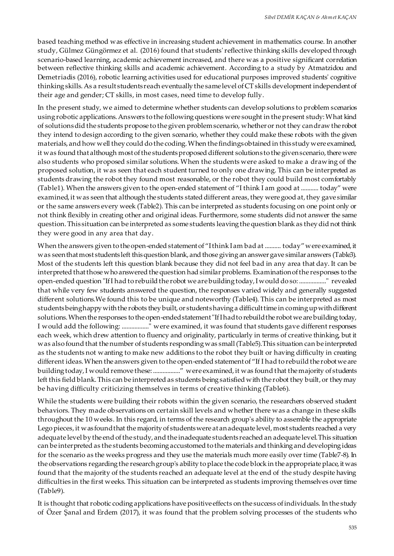based teaching method was effective in increasing student achievement in mathematics course. In another study, Gülmez Güngörmez et al. (2016) found that students' reflective thinking skills developed through scenario-based learning, academic achievement increased, and there was a positive significant correlation between reflective thinking skills and academic achievement. According to a study by Atmatzidou and Demetriadis (2016), robotic learning activities used for educational purposes improved students' cognitive thinking skills.As a result students reach eventually the same level of CT skills development independent of their age and gender; CT skills, in most cases, need time to develop fully.

In the present study, we aimed to determine whether students can develop solutions to problem scenarios using robotic applications. Answers to the following questions were sought in the present study: What kind of solutions did the students propose to the given problem scenario, whether or not they can draw the robot they intend to design according to the given scenario, whether they could make these robots with the given materials, and how well they could do the coding. When the findings obtained in this study were examined, it was found that although most of the students proposed different solutions to the given scenario, there were also students who proposed similar solutions. When the students were asked to make a drawing of the proposed solution, it was seen that each student turned to only one drawing. This can be interpreted as students drawing the robot they found most reasonable, or the robot they could build most comfortably (Table1). When the answers given to the open-ended statement of "I think I am good at ........... today" were examined, it was seen that although the students stated different areas, they were good at, they gave similar or the same answers every week (Table2). This can be interpreted as students focusing on one point only or not think flexibly in creating other and original ideas. Furthermore, some students did not answer the same question. This situation can be interpreted as some students leaving the question blank as they did not think they were good in any area that day.

When the answers given to the open-ended statement of "I think I am bad at .......... today" were examined, it was seen that most students left this question blank, and those giving an answer gave similar answers (Table3). Most of the students left this question blank because they did not feel bad in any area that day. It can be interpreted that those who answered the question had similar problems. Examination of the responses to the open-ended question "If I had to rebuild the robot we are building today, I would do so: ................." revealed that while very few students answered the question, the responses varied widely and generally suggested different solutions.We found this to be unique and noteworthy (Table4). This can be interpreted as most students being happy with the robots they built, or students having a difficult time in coming up with different solutions. When the responses to the open-ended statement "If I had to rebuild the robot we are building today, I would add the following: ................." were examined, it was found that students gave different responses each week, which drew attention to fluency and originality, particularly in terms of creative thinking, but it was also found that the number of students responding was small (Table5).This situation can be interpreted as the students not wanting to make new additions to the robot they built or having difficulty in creating different ideas. When the answers given to the open-ended statement of "If I had to rebuild the robot we are building today, I would remove these: ................." were examined, it was found that the majority of students left this field blank. This can be interpreted as students being satisfied with the robot they built, or they may be having difficulty criticizing themselves in terms of creative thinking (Table6).

While the students were building their robots within the given scenario, the researchers observed student behaviors. They made observations on certain skill levels and whether there was a change in these skills throughout the 10 weeks. In this regard, in terms of the research group's ability to assemble the appropriate Lego pieces, it was found that the majority of students were at an adequate level, most students reached a very adequate level by the end of the study, and the inadequate students reached an adequate level.This situation can be interpreted as the students becoming accustomed to the materials and thinking and developing ideas for the scenario as the weeks progress and they use the materials much more easily over time (Table7-8). In the observations regarding the research group's ability to place the code block in the appropriate place, it was found that the majority of the students reached an adequate level at the end of the study despite having difficulties in the first weeks. This situation can be interpreted as students improving themselves over time (Table9).

It is thought that robotic coding applications have positive effects on the success of individuals. In the study of Özer Şanal and Erdem (2017), it was found that the problem solving processes of the students who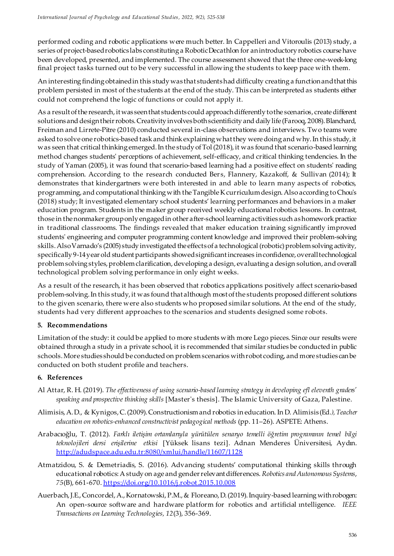performed coding and robotic applications were much better. In Cappelleri and Vitoroulis (2013) study, a series of project-based robotics labs constituting a Robotic Decathlon for an introductory robotics course have been developed, presented, and implemented. The course assessment showed that the three one-week-long final project tasks turned out to be very successful in allowing the students to keep pace with them.

An interesting finding obtained in this study was that students had difficulty creating a function and that this problem persisted in most of the students at the end of the study. This can be interpreted as students either could not comprehend the logic of functions or could not apply it.

As a result of the research, it was seen that students could approach differently to the scenarios, create different solutions and design their robots. Creativity involves both scientificity and daily life (Farooq, 2008). Blanchard, Freiman and Lirrete-Pitre (2010) conducted several in-class observations and interviews. Two teams were asked to solve one robotics-based task and think explaining what they were doing and why. In this study, it was seen that critical thinking emerged. In the study of Tol (2018), it was found that scenario-based learning method changes students' perceptions of achievement, self-efficacy, and critical thinking tendencies. In the study of Yaman (2005), it was found that scenario-based learning had a positive effect on students' reading comprehension. According to the research conducted Bers, Flannery, Kazakoff, & Sullivan (2014); It demonstrates that kindergartners were both interested in and able to learn many aspects of robotics, programming, and computational thinking with the Tangible K curriculum design. Also according to Chou's (2018) study; It investigated elementary school students' learning performances and behaviors in a maker education program. Students in the maker group received weekly educational robotics lessons. In contrast, those in the nonmaker group only engaged in other after-school learning activities such as homework practice in traditional classrooms. The findings revealed that maker education training significantly improved students' engineering and computer programming content knowledge and improved their problem-solving skills. Also Varnado's (2005) study investigated the effects of a technological (robotic) problem solving activity, specifically 9-14 year old student participants showed significant increases in confidence, overall technological problem solving styles, problem clarification, developing a design, evaluating a design solution, and overall technological problem solving performance in only eight weeks.

As a result of the research, it has been observed that robotics applications positively affect scenario-based problem-solving. In this study, it was found that although most of the students proposed different solutions to the given scenario, there were also students who proposed similar solutions. At the end of the study, students had very different approaches to the scenarios and students designed some robots.

#### **5. Recommendations**

Limitation of the study: it could be applied to more students with more Lego pieces. Since our results were obtained through a study in a private school, it is recommended that similar studies be conducted in public schools. More studies should be conducted on problem scenarios with robot coding, and more studies can be conducted on both student profile and teachers.

#### **6. References**

- Al Attar, R. H. (2019). *The effectiveness of using scenario-based learning strategy in developing efl eleventh graders' speaking and prospective thinking skills* [Master's thesis]. The Islamic University of Gaza, Palestine.
- Alimisis, A. D., & Kynigos, C. (2009). Constructionism and robotics in education. In D. Alimisis (Ed*.), Teacher education on robotics-enhanced constructivist pedagogical methods* (pp. 11–26). ASPETE: Athens.
- Arabacıoğlu, T. (2012). *Farklı iletişim ortamlarıyla yürütülen senaryo temelli öğretim programının temel bilgi teknolojileri dersi erişilerine etkisi* [Yüksek lisans tezi]. Adnan Menderes Üniversitesi, Aydın. [http://adudspace.adu.edu.tr:8080/xmlui/handle/11607/1](http://adudspace.adu.edu.tr:8080/xmlui/handle/11607/1128)128
- Atmatzidou, S. & Demetriadis, S. (2016). Advancing students' computational thinking skills through educational robotics: A study on age and gender relevant differences. *Robotics and Autonomous Systems*, *75*(B), 661-670. [https://doi.org/10.1016/j.robot.2015.10.](https://doi.org/10.1016/j.robot.2015.10.008)008
- Auerbach, J.E., Concordel, A., Kornatowski, P.M., & Floreano, D. (2019). Inquiry-based learning with robogen: An open-source software and hardware platform for robotics and artificial ıntelligence. *IEEE Transactions on Learning Technologies, 12*(3), 356-369.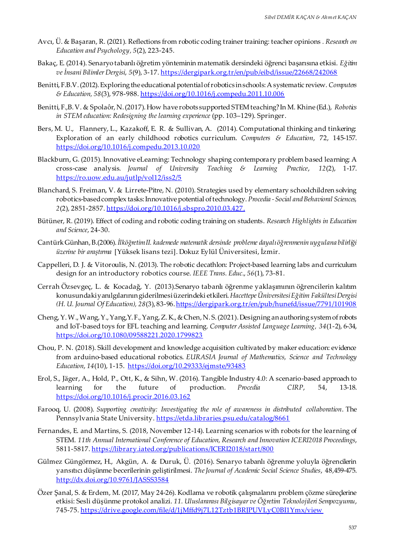- Avcı, Ü. & Başaran, R. (2021). Reflections from robotic coding trainer training: teacher opinions *. Research on Education and Psychology, 5*(2), 223-245.
- Bakaç, E. (2014). Senaryo tabanlı öğretim yönteminin matematik dersindeki öğrenci başarısına etkisi. *Eğitim ve İnsani Bilimler Dergisi*, *5*(9), 3-17. [https://dergipark.org.tr/en/pub/eibd/issue/22668/242](https://dergipark.org.tr/en/pub/eibd/issue/22668/242068)068
- Benitti, F.B.V. (2012). Exploring the educational potential of robotics in schools: A systematic review. *Computers & Education, 58*(3), 978-98[8. https://doi.org/10.1016/j.compedu.2011.10](https://doi.org/10.1016/j.compedu.2011.10.006).006
- Benitti, F.,B. V. & Spolaôr, N. (2017). How have robots supported STEM teaching? In M. Khine (Ed.), *Robotics in STEM education: Redesigning the learning experience (pp. 103–129). Springer.*
- Bers, M. U., Flannery, L., Kazakoff, E. R. & Sullivan, A. (2014). Computational thinking and tinkering: Exploration of an early childhood robotics curriculum. *Computers & Education*, 72, 145-157. [https://doi.org/10.1016/j.compedu.2013.10.0](https://doi.org/10.1016/j.compedu.2013.10.020)20
- Blackburn, G. (2015). Innovative eLearning: Technology shaping contemporary problem based learning: A cross-case analysis. *Journal of University Teaching & Learning Practice*, *12*(2), 1-17. [https://ro.uow.edu.au/jutlp/vol12/iss2](https://ro.uow.edu.au/jutlp/vol12/iss2/5)/5
- Blanchard, S. Freiman, V. & Lirrete-Pitre, N. (2010). Strategies used by elementary schoolchildren solving robotics-based complex tasks: Innovative potential of technology. *Procedia -Social and Behavioral Sciences, 2*(2), 2851-2857. [https://doi.org/10.1016/j.sbspro.2010.03](https://doi.org/10.1016/j.sbspro.2010.03.427).427.
- Bütüner, R. (2019). Effect of coding and robotic coding training on students. *Research Highlights in Education and Science*, 24-30.
- Cantürk Günhan, B.(2006). *İlköğretim II. kademede matematik dersinde probleme dayalı öğrenmenin uygulana bilirliği üzerine bir araştırma* [Yüksek lisans tezi]. Dokuz Eylül Üniversitesi, İzmir.
- Cappelleri, D. J. & Vitoroulis, N. (2013). The robotic decathlon: Project-based learning labs and curriculum design for an introductory robotics course. *IEEE Trans. Educ*., *56*(1), 73-81.
- Cerrah Özsevgeç, L. & Kocadağ, Y. (2013).Senaryo tabanlı öğrenme yaklaşımının öğrencilerin kalıtım konusundaki yanılgılarının giderilmesi üzerindeki etkileri. *Hacettepe Üniversitesi Eğitim Fakültesi Dergisi (H. U. Journal Of Education), 28(3), 83-96.* https://dergipark.org.tr/en/pub/hunefd/issue/7791/101908
- Cheng, Y. W., Wang, Y., Yang,Y. F., Yang, Z. K., & Chen, N. S. (2021).Designing an authoring system of robots and IoT-based toys for EFL teaching and learning. *Computer Assisted Language Learning, 34*(1-2), 6-34, [https://doi.org/10.1080/09588221.2020.17998](https://doi.org/10.1080/09588221.2020.1799823)23
- Chou, P. N. (2018). Skill development and knowledge acquisition cultivated by maker education: evidence from arduino-based educational robotics. *EURASIA Journal of Mathematics, Science and Technology Education*, *14*(10), 1-15[. https://doi.org/10.29333/ejmste/934](https://doi.org/10.29333/ejmste/93483)83
- Erol, S., Jäger, A., Hold, P., Ott, K., & Sihn, W. (2016). Tangible Industry 4.0: A scenario-based approach to learning for the future of production. *Procedia CIRP*, 54, 13-18. [https://doi.org/10.1016/j.procir.2016.03.1](https://doi.org/10.1016/j.procir.2016.03.162)62
- Farooq, U. (2008). *Supporting creativity: Investigating the role of awareness in distributed collaboration*. The Pennsylvania State University. [https://etda.libraries.psu.edu/catalog](https://etda.libraries.psu.edu/catalog/8661)/8661
- Fernandes, E. and Martins, S. (2018, November 12-14). Learning scenarios with robots for the learning of STEM. *11th Annual International Conference of Education, Research and Innovation ICERI2018 Proceedings*, 5811-5817. [https://library.iated.org/publications/ICERI2018/star](https://library.iated.org/publications/ICERI2018/start/800)t/800
- Gülmez Güngörmez, H., Akgün, A. & Duruk, Ü. (2016). Senaryo tabanlı öğrenme yoluyla öğrencilerin yansıtıcı düşünme becerilerinin geliştirilmesi. *The Journal of Academic Social Science Studies*, 48,459-475. [http://dx.doi.org/10.9761/JASSS358](http://dx.doi.org/10.9761/JASSS3584)4
- Özer Şanal, S. & Erdem, M. (2017, May 24-26). Kodlama ve robotik çalışmalarını problem çözme süreçlerine etkisi: Sesli düşünme protokol analizi. *11. Uluslararası Bilgisayar ve Öğretim Teknolojileri Sempozyumu*, 745-75. https://drive.google.com/file/d/1jMffd9j7L12Tztb1BRJPUVLyC0BI1Ymx/view